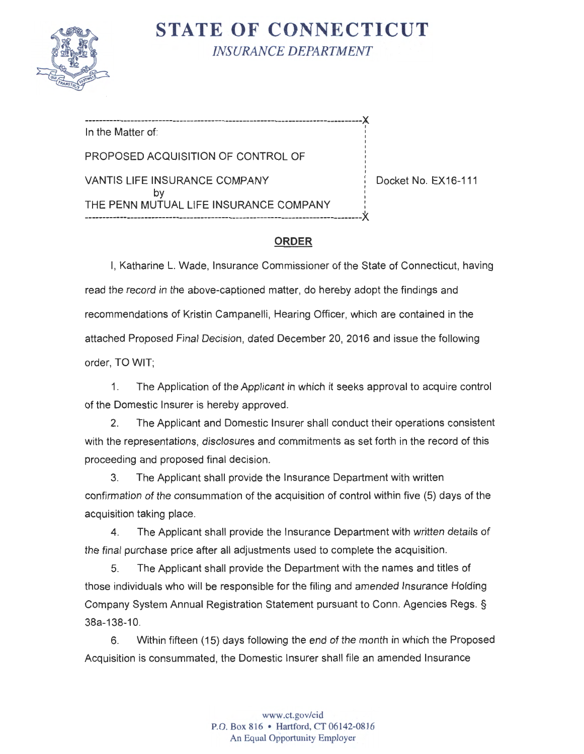

**STATE OF CONNECTICUT** *INSURANCE DEPARTMENT* 

-------------------------------------------------------------------------------X In the Matter of: PROPOSED ACQUISITION OF CONTROL OF VANTIS LIFE INSURANCE COMPANY | Docket No. EX16-111 by THE PENN MUTUAL LIFE INSURANCE COMPANY -------------------------------------------------------------------------------X.

## **ORDER**

I, Katharine L. Wade, Insurance Commissioner of the State of Connecticut, having read the record in the above-captioned matter, do hereby adopt the findings and recommendations of Kristin Campanelli, Hearing Officer, which are contained in the attached Proposed Final Decision, dated December 20, 2016 and issue the following order, TO WIT;

1. The Application of the Applicant in which it seeks approval to acquire control of the Domestic Insurer is hereby approved.

2. The Applicant and Domestic Insurer shall conduct their operations consistent with the representations, disclosures and commitments as set forth in the record of this proceeding and proposed final decision.

3. The Applicant shall provide the Insurance Department with written confirmation of the consummation of the acquisition of control within five (5) days of the acquisition taking place.

4. The Applicant shall provide the Insurance Department with written details of the final purchase price after all adjustments used to complete the acquisition.

5. The Applicant shall provide the Department with the names and titles of those individuals who will be responsible for the filing and amended Insurance Holding Company System Annual Registration Statement pursuant to Conn. Agencies Regs. § 38a-138-10 .

6. Within fifteen (15) days following the end of the month in which the Proposed Acquisition is consummated, the Domestic Insurer shall file an amended Insurance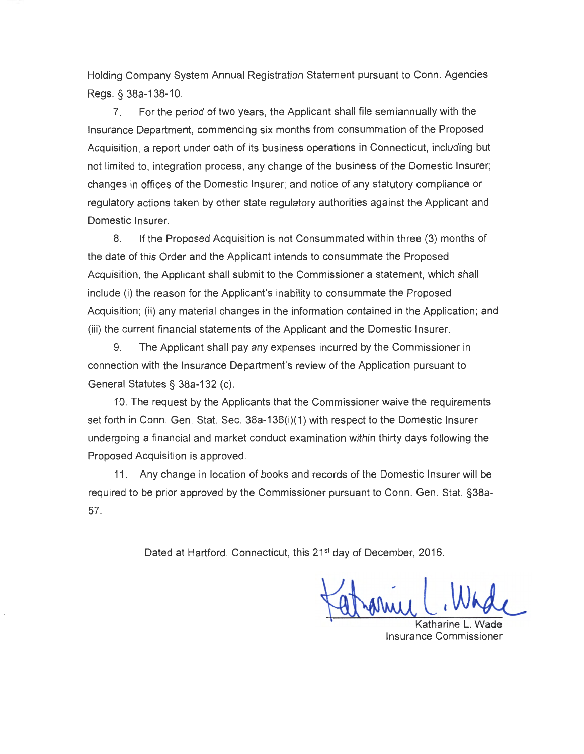Holding Company System Annual Registration Statement pursuant to Conn . Agencies Regs.§ 38a-138-10.

7. For the period of two years, the Applicant shall file semiannually with the Insurance Department, commencing six months from consummation of the Proposed Acquisition, a report under oath of its business operations in Connecticut, including but not limited to, integration process, any change of the business of the Domestic Insurer; changes in offices of the Domestic Insurer; and notice of any statutory compliance or regulatory actions taken by other state regulatory authorities against the Applicant and Domestic Insurer.

8. If the Proposed Acquisition is not Consummated within three (3) months of the date of this Order and the Applicant intends to consummate the Proposed Acquisition , the Applicant shall submit to the Commissioner a statement, which shall include (i) the reason for the Applicant's inability to consummate the Proposed Acquisition; (ii) any material changes in the information contained in the Application; and (iii) the current financial statements of the Applicant and the Domestic Insurer.

9. The Applicant shall pay any expenses incurred by the Commissioner in connection with the Insurance Department's review of the Application pursuant to General Statutes§ 38a-132 (c).

10. The request by the Applicants that the Commissioner waive the requirements set forth in Conn. Gen. Stat. Sec. 38a-136(i)(1) with respect to the Domestic Insurer undergoing a financial and market conduct examination within thirty days following the Proposed Acquisition is approved.

11 . Any change in location of books and records of the Domestic Insurer will be required to be prior approved by the Commissioner pursuant to Conn. Gen. Stat. §38a-57.

Dated at Hartford, Connecticut, this 21<sup>st</sup> day of December, 2016.

Katharine L. Whole

Insurance Commissioner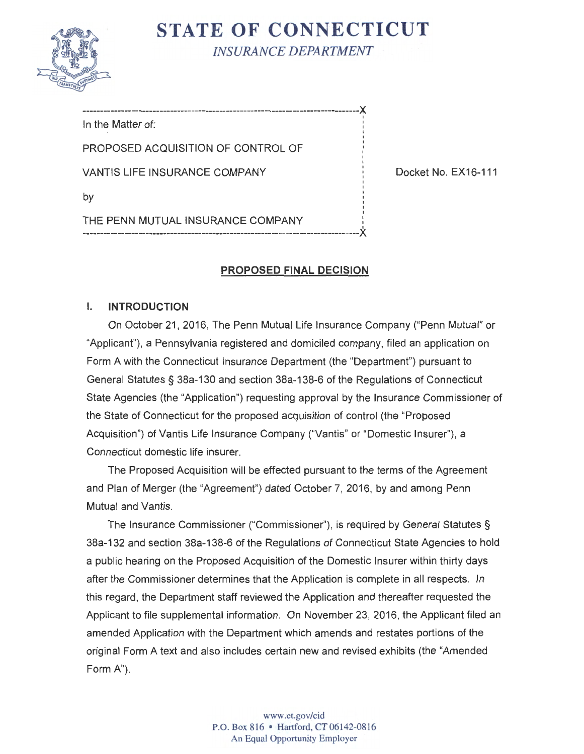

**STATE OF CONNECTICUT** *INSURANCE DEPARTMENT* 

-------------------------------------------------------------------------------}( In the Matter of: PROPOSED ACQUISITION OF CONTROL OF VANTIS LIFE INSURANCE COMPANY DOCKET NO. EX16-111 by THE PENN MUTUAL INSURANCE COMPANY -------------------------------------------------------------------------------X

# **PROPOSED FINAL DECISION**

### I. **INTRODUCTION**

On October 21, 2016, The Penn Mutual Life Insurance Company ("Penn Mutual" or "Applicant"), a Pennsylvania registered and domiciled company, filed an application on Form A with the Connecticut Insurance Department (the "Department") pursuant to General Statutes§ 38a-130 and section 38a-138-6 of the Regulations of Connecticut State Agencies (the "Application") requesting approval by the Insurance Commissioner of the State of Connecticut for the proposed acquisition of control (the "Proposed Acquisition") of Vantis Life Insurance Company ("Vantis" or "Domestic Insurer''), a Connecticut domestic life insurer.

The Proposed Acquisition will be effected pursuant to the terms of the Agreement and Plan of Merger (the "Agreement") dated October 7, 2016, by and among Penn Mutual and Vantis.

The Insurance Commissioner ("Commissioner''), is required by General Statutes § 38a-132 and section 38a-138-6 of the Regulations of Connecticut State Agencies to hold a public hearing on the Proposed Acquisition of the Domestic Insurer within thirty days after the Commissioner determines that the Application is complete in all respects. In this regard, the Department staff reviewed the Application and thereafter requested the Applicant to file supplemental information. On November 23, 2016, the Applicant filed an amended Application with the Department which amends and restates portions of the original Form A text and also includes certain new and revised exhibits (the "Amended Form A").

> www.ct.gov/cid P.O. Box 816 • Hartford, CT 06142-0816 An Equal Opportunity Employer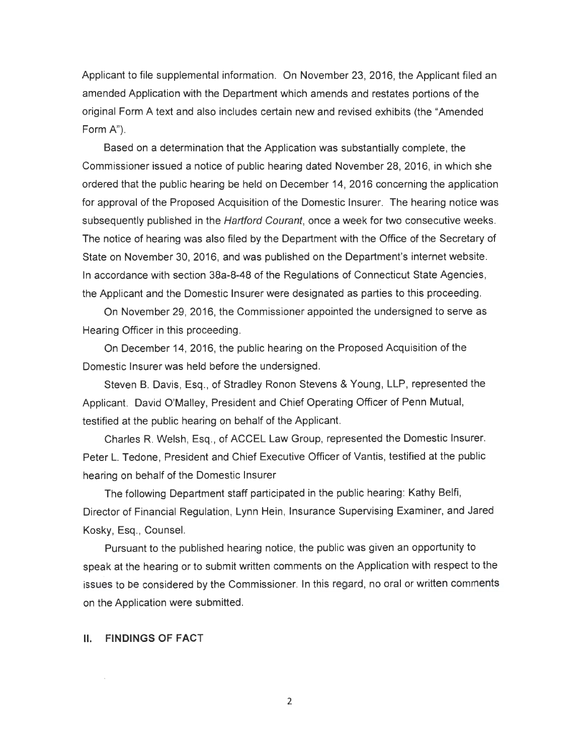Applicant to file supplemental information. On November 23, 2016, the Applicant filed an amended Application with the Department which amends and restates portions of the original Form A text and also includes certain new and revised exhibits (the "Amended Form A").

Based on a determination that the Application was substantially complete, the Commissioner issued a notice of public hearing dated November 28, 2016, in which she ordered that the public hearing be held on December 14, 2016 concerning the application for approval of the Proposed Acquisition of the Domestic Insurer. The hearing notice was subsequently published in the Hartford Courant, once a week for two consecutive weeks. The notice of hearing was also filed by the Department with the Office of the Secretary of State on November 30, 2016, and was published on the Department's internet website. In accordance with section 38a-8-48 of the Regulations of Connecticut State Agencies, the Applicant and the Domestic Insurer were designated as parties to this proceeding.

On November 29, 2016, the Commissioner appointed the undersigned to serve as Hearing Officer in this proceeding.

On December 14, 2016, the public hearing on the Proposed Acquisition of the Domestic Insurer was held before the undersigned.

Steven B. Davis, Esq., of Stradley Ronon Stevens & Young, LLP, represented the Applicant. David O'Malley, President and Chief Operating Officer of Penn Mutual, testified at the public hearing on behalf of the Applicant.

Charles R. Welsh, Esq., of ACCEL Law Group, represented the Domestic Insurer. Peter L. Tedone, President and Chief Executive Officer of Vantis, testified at the public hearing on behalf of the Domestic Insurer

The following Department staff participated in the public hearing: Kathy Belfi, Director of Financial Regulation, Lynn Hein, Insurance Supervising Examiner, and Jared Kosky, Esq., Counsel.

Pursuant to the published hearing notice, the public was given an opportunity to speak at the hearing or to submit written comments on the Application with respect to the issues to be considered by the Commissioner. In this regard, no oral or written comments on the Application were submitted.

#### II. **FINDINGS OF FACT**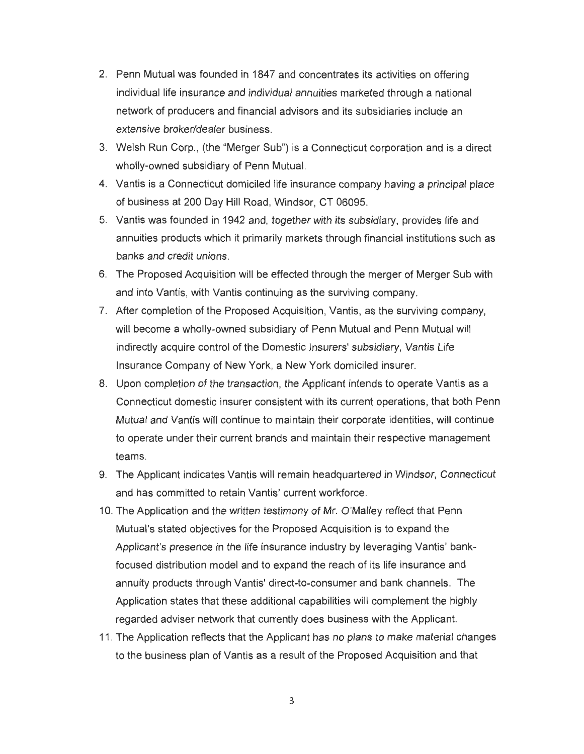- 2. Penn Mutual was founded in 1847 and concentrates its activities on offering individual life insurance and individual annuities marketed through a national network of producers and financial advisors and its subsidiaries include an extensive broker/dealer business.
- 3. Welsh Run Corp., (the "Merger Sub") is a Connecticut corporation and is a direct wholly-owned subsidiary of Penn Mutual.
- 4. Vantis is a Connecticut domiciled life insurance company having a principal place of business at 200 Day Hill Road, Windsor, CT 06095.
- 5. Vantis was founded in 1942 and, together with its subsidiary, provides life and annuities products which it primarily markets through financial institutions such as banks and credit unions.
- 6. The Proposed Acquisition will be effected through the merger of Merger Sub with and into Vantis, with Vantis continuing as the surviving company .
- 7. After completion of the Proposed Acquisition , Vantis, as the surviving company, will become a wholly-owned subsidiary of Penn Mutual and Penn Mutual will indirectly acquire control of the Domestic Insurers' subsidiary, Vantis Life Insurance Company of New York, a New York domiciled insurer.
- 8. Upon completion of the transaction, the Applicant intends to operate Vantis as a Connecticut domestic insurer consistent with its current operations, that both Penn Mutual and Vantis will continue to maintain their corporate identities, will continue to operate under their current brands and maintain their respective management teams.
- 9. The Applicant indicates Vantis will remain headquartered in Windsor, Connecticut and has committed to retain Vantis' current workforce.
- 10. The Application and the written testimony of Mr. O'Malley reflect that Penn Mutual's stated objectives for the Proposed Acquisition is to expand the Applicant's presence in the life insurance industry by leveraging Vantis' bankfocused distribution model and to expand the reach of its life insurance and annuity products through Vantis' direct-to-consumer and bank channels. The Application states that these additional capabilities will complement the highly regarded adviser network that currently does business with the Applicant.
- 11 . The Application reflects that the Applicant has no plans to make material changes to the business plan of Vantis as a result of the Proposed Acquisition and that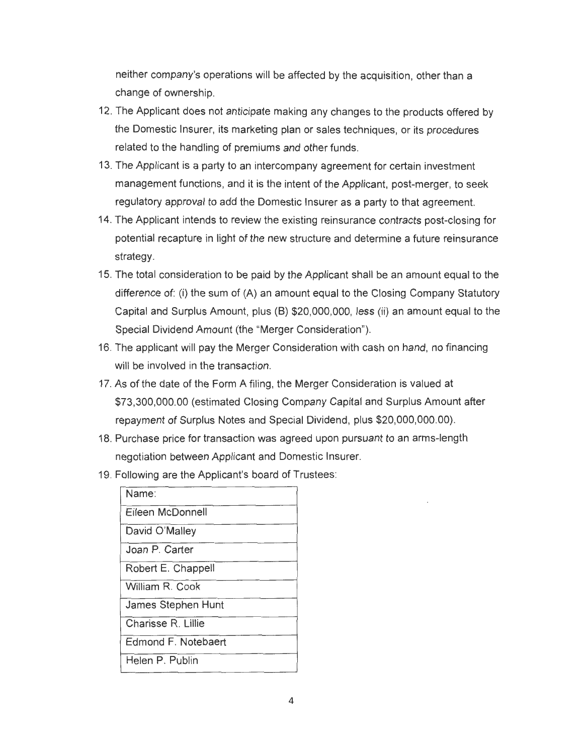neither company's operations will be affected by the acquisition, other than a change of ownership.

- 12. The Applicant does not anticipate making any changes to the products offered by the Domestic Insurer, its marketing plan or sales techniques, or its procedures related to the handling of premiums and other funds.
- 13. The Applicant is a party to an intercompany agreement for certain investment management functions, and it is the intent of the Applicant, post-merger, to seek regulatory approval to add the Domestic Insurer as a party to that agreement.
- 14. The Applicant intends to review the existing reinsurance contracts post-closing for potential recapture in light of the new structure and determine a future reinsurance strategy.
- 15. The total consideration to be paid by the Applicant shall be an amount equal to the difference of: (i) the sum of (A) an amount equal to the Closing Company Statutory Capital and Surplus Amount, plus (B) \$20,000,000, less (ii) an amount equal to the Special Dividend Amount (the "Merger Consideration").
- 16. The applicant will pay the Merger Consideration with cash on hand, no financing will be involved in the transaction.
- 17. As of the date of the Form A filing, the Merger Consideration is valued at \$73,300,000.00 (estimated Closing Company Capital and Surplus Amount after repayment of Surplus Notes and Special Dividend, plus \$20,000,000.00) .
- 18. Purchase price for transaction was agreed upon pursuant to an arms-length negotiation between Applicant and Domestic Insurer.
- 19. Following are the Applicant's board of Trustees:

| Name:               |
|---------------------|
| Eileen McDonnell    |
| David O'Malley      |
| Joan P. Carter      |
| Robert E. Chappell  |
| William R. Cook     |
| James Stephen Hunt  |
| Charisse R. Lillie  |
| Edmond F. Notebaert |
| Helen P. Publin     |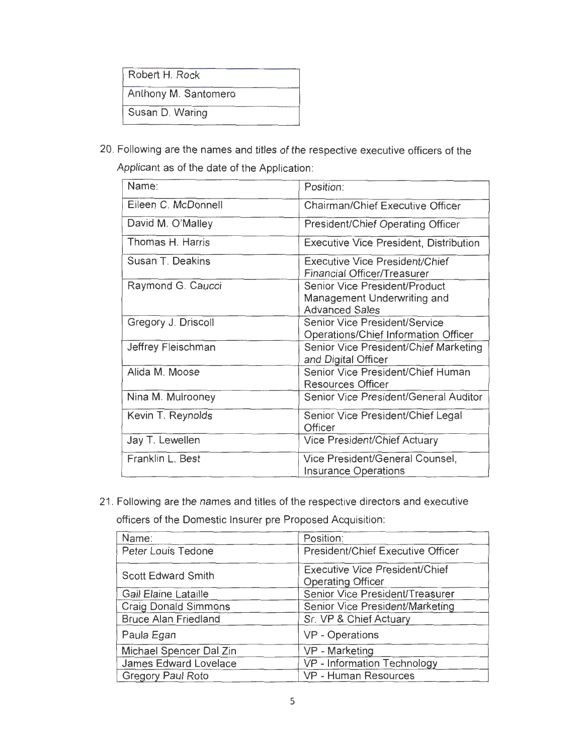| Robert H. Rock       |  |
|----------------------|--|
| Anthony M. Santomero |  |
| Susan D. Waring      |  |

20. Following are the names and titles of the respective executive officers of the Applicant as of the date of the Application:

| Name:               | Position:                                     |
|---------------------|-----------------------------------------------|
| Eileen C. McDonnell | Chairman/Chief Executive Officer              |
| David M. O'Malley   | President/Chief Operating Officer             |
| Thomas H. Harris    | <b>Executive Vice President, Distribution</b> |
| Susan T. Deakins    | <b>Executive Vice President/Chief</b>         |
|                     | Financial Officer/Treasurer                   |
| Raymond G. Caucci   | Senior Vice President/Product                 |
|                     | Management Underwriting and                   |
|                     | <b>Advanced Sales</b>                         |
| Gregory J. Driscoll | Senior Vice President/Service                 |
|                     | Operations/Chief Information Officer          |
| Jeffrey Fleischman  | Senior Vice President/Chief Marketing         |
|                     | and Digital Officer                           |
| Alida M. Moose      | Senior Vice President/Chief Human             |
|                     | <b>Resources Officer</b>                      |
| Nina M. Mulrooney   | Senior Vice President/General Auditor         |
| Kevin T. Reynolds   | Senior Vice President/Chief Legal             |
|                     | Officer                                       |
| Jay T. Lewellen     | Vice President/Chief Actuary                  |
| Franklin L. Best    | Vice President/General Counsel,               |
|                     | <b>Insurance Operations</b>                   |

21 . Following are the names and titles of the respective directors and executive

officers of the Domestic Insurer pre Proposed Acquisition:

| Name:                       | Position:                             |
|-----------------------------|---------------------------------------|
| Peter Louis Tedone          | President/Chief Executive Officer     |
| <b>Scott Edward Smith</b>   | <b>Executive Vice President/Chief</b> |
|                             | <b>Operating Officer</b>              |
| <b>Gail Elaine Lataille</b> | Senior Vice President/Treasurer       |
| <b>Craig Donald Simmons</b> | Senior Vice President/Marketing       |
| <b>Bruce Alan Friedland</b> | Sr. VP & Chief Actuary                |
| Paula Egan                  | VP - Operations                       |
| Michael Spencer Dal Zin     | VP - Marketing                        |
| James Edward Lovelace       | VP - Information Technology           |
| <b>Gregory Paul Roto</b>    | VP - Human Resources                  |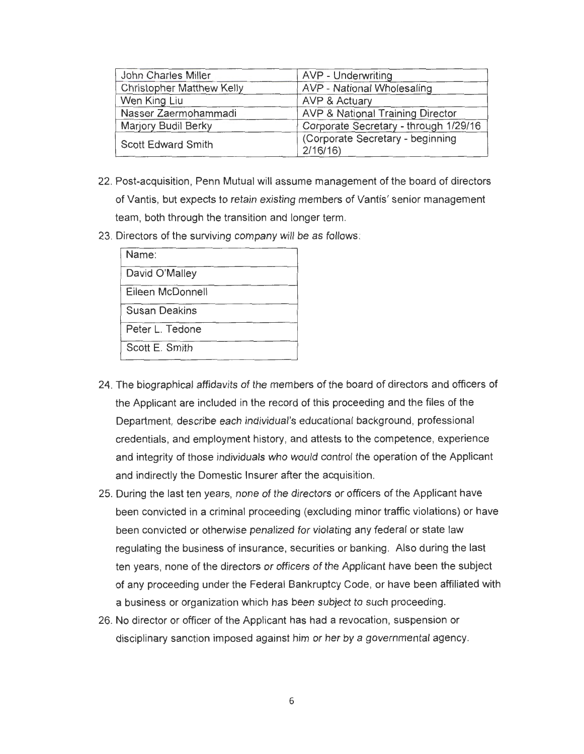| John Charles Miller              | AVP - Underwriting                          |
|----------------------------------|---------------------------------------------|
| <b>Christopher Matthew Kelly</b> | AVP - National Wholesaling                  |
| Wen King Liu                     | <b>AVP &amp; Actuary</b>                    |
| Nasser Zaermohammadi             | <b>AVP &amp; National Training Director</b> |
| Marjory Budil Berky              | Corporate Secretary - through 1/29/16       |
| Scott Edward Smith               | (Corporate Secretary - beginning<br>2/16/16 |

- 22 . Post-acquisition, Penn Mutual will assume management of the board of directors of Vantis, but expects to retain existing members of Vantis' senior management team, both through the transition and longer term.
- 23. Directors of the surviving company will be as follows :

| Name:                |
|----------------------|
| David O'Malley       |
| Eileen McDonnell     |
| <b>Susan Deakins</b> |
| Peter L. Tedone      |
| Scott E. Smith       |

- 24. The biographical affidavits of the members of the board of directors and officers of the Applicant are included in the record of this proceeding and the files of the Department, describe each individual's educational background, professional credentials, and employment history, and attests to the competence, experience and integrity of those individuals who would control the operation of the Applicant and indirectly the Domestic Insurer after the acquisition.
- 25. During the last ten years, none of the directors or officers of the Applicant have been convicted in a criminal proceeding (excluding minor traffic violations) or have been convicted or otherwise penalized for violating any federal or state law regulating the business of insurance, securities or banking . Also during the last ten years, none of the directors or officers of the Applicant have been the subject of any proceeding under the Federal Bankruptcy Code , or have been affiliated with a business or organization which has been subject to such proceeding.
- 26. No director or officer of the Applicant has had a revocation, suspension or disciplinary sanction imposed against him or her by a governmental agency.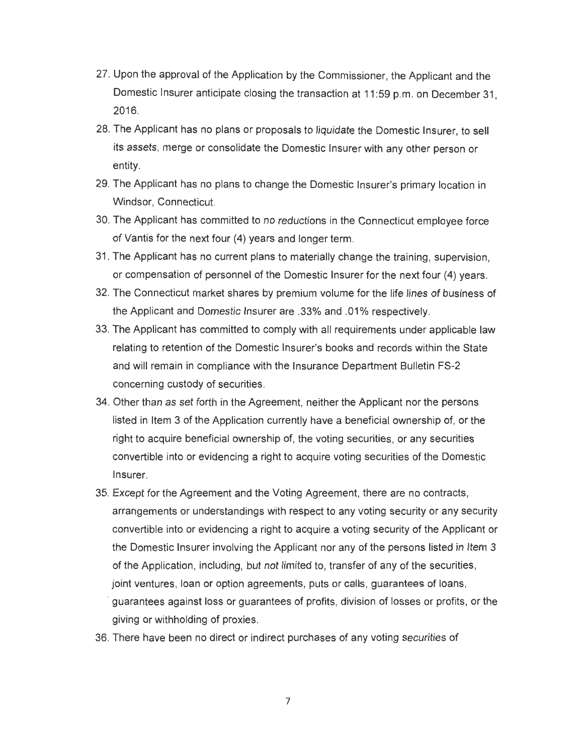- 27. Upon the approval of the Application by the Commissioner, the Applicant and the Domestic Insurer anticipate closing the transaction at 11:59 p.m. on December 31, 2016.
- 28. The Applicant has no plans or proposals to liquidate the Domestic Insurer, to sell its assets, merge or consolidate the Domestic Insurer with any other person or entity.
- 29. The Applicant has no plans to change the Domestic Insurer's primary location in Windsor, Connecticut.
- 30. The Applicant has committed to no reductions in the Connecticut employee force of Vantis for the next four (4) years and longer term.
- 31. The Applicant has no current plans to materially change the training, supervision, or compensation of personnel of the Domestic Insurer for the next four (4) years.
- 32 . The Connecticut market shares by premium volume for the life lines of business of the Applicant and Domestic Insurer are .33% and .01% respectively.
- 33. The Applicant has committed to comply with all requirements under applicable law relating to retention of the Domestic Insurer's books and records within the State and will remain in compliance with the Insurance Department Bulletin FS-2 concerning custody of securities .
- 34 . Other than as set forth in the Agreement, neither the Applicant nor the persons listed in Item 3 of the Application currently have a beneficial ownership of, or the right to acquire beneficial ownership of, the voting securities, or any securities convertible into or evidencing a right to acquire voting securities of the Domestic Insurer.
- 35. Except for the Agreement and the Voting Agreement, there are no contracts, arrangements or understandings with respect to any voting security or any security convertible into or evidencing a right to acquire a voting security of the Applicant or the Domestic Insurer involving the Applicant nor any of the persons listed in Item 3 of the Application, including, but not limited to, transfer of any of the securities, joint ventures, loan or option agreements, puts or calls, quarantees of baris, · guarantees against loss or guarantees of profits, division of losses or profits, or the giving or withholding of proxies .
- 36. There have been no direct or indirect purchases of any voting securities of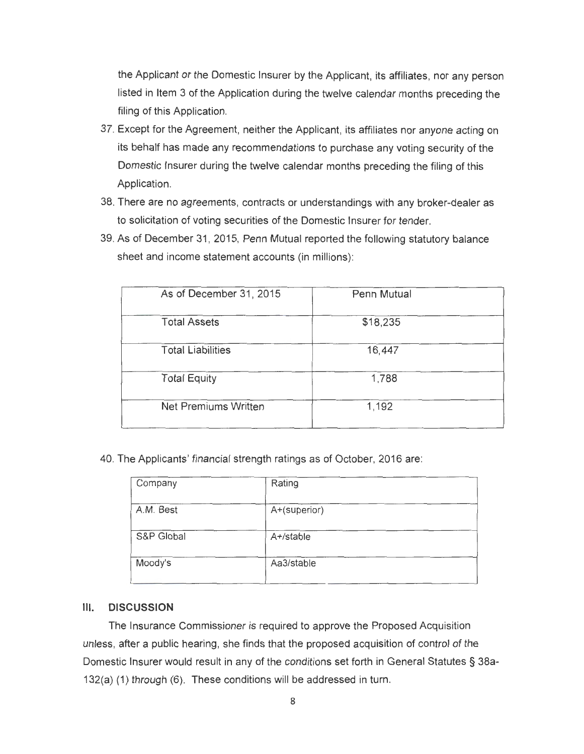the Applicant or the Domestic Insurer by the Applicant, its affiliates, nor any person listed in Item 3 of the Application during the twelve calendar months preceding the filing of this Application.

- 37 . Except for the Agreement, neither the Applicant, its affiliates nor anyone acting on its behalf has made any recommendations to purchase any voting security of the Domestic Insurer during the twelve calendar months preceding the filing of this Application.
- 38. There are no agreements, contracts or understandings with any broker-dealer as to solicitation of voting securities of the Domestic Insurer for tender.
- 39. As of December 31, 2015, Penn Mutual reported the following statutory balance sheet and income statement accounts (in millions):

| As of December 31, 2015     | Penn Mutual |
|-----------------------------|-------------|
| <b>Total Assets</b>         | \$18,235    |
| <b>Total Liabilities</b>    | 16,447      |
| <b>Total Equity</b>         | 1,788       |
| <b>Net Premiums Written</b> | 1,192       |

40. The Applicants' financial strength ratings as of October, 2016 are:

| Company    | Rating       |
|------------|--------------|
| A.M. Best  | A+(superior) |
| S&P Global | A+/stable    |
| Moody's    | Aa3/stable   |

#### **Ill. DISCUSSION**

The Insurance Commissioner is required to approve the Proposed Acquisition unless, after a public hearing, she finds that the proposed acquisition of control of the Domestic Insurer would result in any of the conditions set forth in General Statutes § 38a-132(a) (1) through (6). These conditions will be addressed in turn.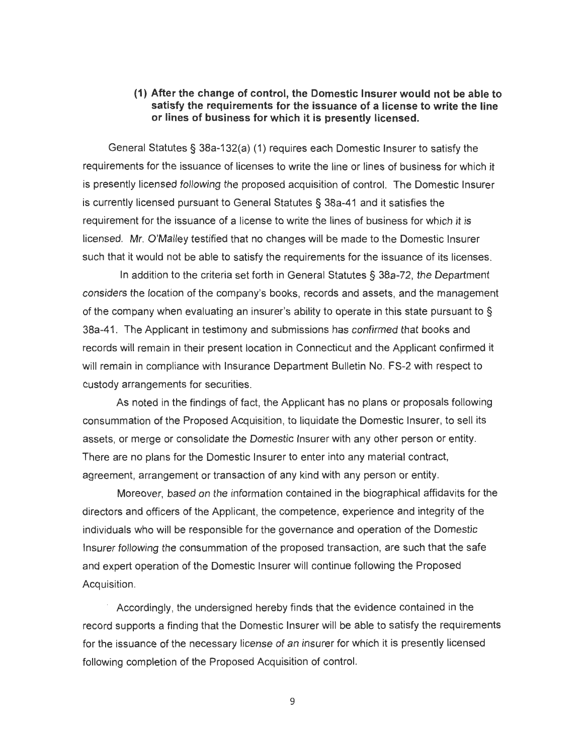#### **(1) After the change of control, the Domestic Insurer would not be able to satisfy the requirements for the issuance of a license to write the line or lines of business for which it is presently licensed.**

General Statutes§ 38a-132(a) (1) requires each Domestic Insurer to satisfy the requirements for the issuance of licenses to write the line or lines of business for which it is presently licensed following the proposed acquisition of control. The Domestic Insurer is currently licensed pursuant to General Statutes § 38a-41 and it satisfies the requirement for the issuance of a license to write the lines of business for which it is licensed . Mr. O'Malley testified that no changes will be made to the Domestic Insurer such that it would not be able to satisfy the requirements for the issuance of its licenses.

In addition to the criteria set forth in General Statutes§ 38a-72, the Department considers the location of the company's books , records and assets, and the management of the company when evaluating an insurer's ability to operate in this state pursuant to § 38a-41 . The Applicant in testimony and submissions has confirmed that books and records will remain in their present location in Connecticut and the Applicant confirmed it will remain in compliance with Insurance Department Bulletin No. FS-2 with respect to custody arrangements for securities.

As noted in the findings of fact , the Applicant has no plans or proposals following consummation of the Proposed Acquisition, to liquidate the Domestic Insurer, to sell its assets, or merge or consolidate the Domestic Insurer with any other person or entity. There are no plans for the Domestic Insurer to enter into any material contract, agreement, arrangement or transaction of any kind with any person or entity.

Moreover, based on the information contained in the biographical affidavits for the directors and officers of the Applicant, the competence, experience and integrity of the individuals who will be responsible for the governance and operation of the Domestic Insurer following the consummation of the proposed transaction, are such that the safe and expert operation of the Domestic Insurer will continue following the Proposed Acquisition.

Accordingly, the undersigned hereby finds that the evidence contained in the record supports a finding that the Domestic Insurer will be able to satisfy the requirements for the issuance of the necessary license of an insurer for which it is presently licensed following completion of the Proposed Acquisition of control.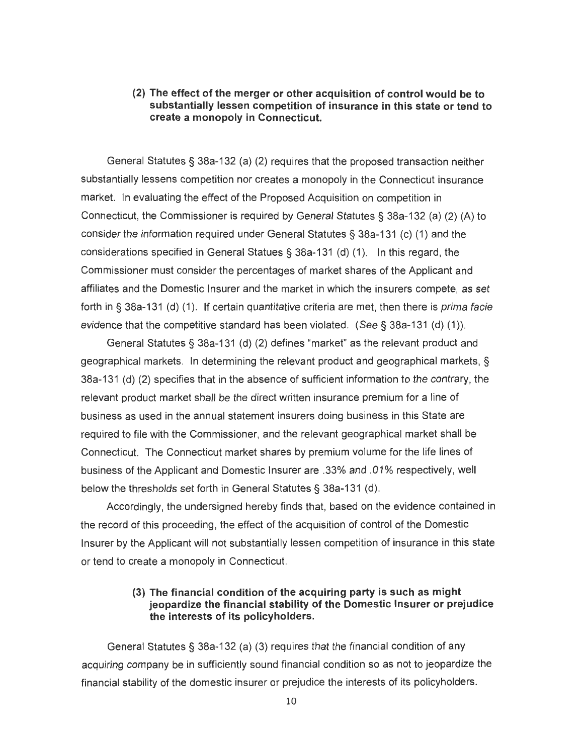#### **(2) The effect of the merger or other acquisition of control would be to substantially lessen competition of insurance in this state or tend to create a monopoly in Connecticut.**

General Statutes§ 38a-132 (a) (2) requires that the proposed transaction neither substantially lessens competition nor creates a monopoly in the Connecticut insurance market. In evaluating the effect of the Proposed Acquisition on competition in Connecticut, the Commissioner is required by General Statutes§ 38a-132 (a) (2) (A) to consider the information required under General Statutes§ 38a-131 (c) (1) and the considerations specified in General Statues § 38a-131 (d) (1 ). In this regard, the Commissioner must consider the percentages of market shares of the Applicant and affiliates and the Domestic Insurer and the market in which the insurers compete, as set forth in § 38a-131 (d) (1). If certain quantitative criteria are met, then there is *prima facie* evidence that the competitive standard has been violated. (See § 38a-131 (d) (1)).

General Statutes§ 38a-131 (d) (2) defines "market" as the relevant product and geographical markets. In determining the relevant product and geographical markets, § 38a-131 (d) (2) specifies that in the absence of sufficient information to the contrary, the relevant product market shall be the direct written insurance premium for a line of business as used in the annual statement insurers doing business in this State are required to file with the Commissioner, and the relevant geographical market shall be Connecticut. The Connecticut market shares by premium volume for the life lines of business of the Applicant and Domestic Insurer are .33% and .01% respectively, well below the thresholds set forth in General Statutes§ 38a-131 (d).

Accordingly, the undersigned hereby finds that, based on the evidence contained in the record of this proceeding, the effect of the acquisition of control of the Domestic Insurer by the Applicant will not substantially lessen competition of insurance in this state or tend to create a monopoly in Connecticut.

## (3) **The financial condition of the acquiring party is such as might jeopardize the financial stability of the Domestic Insurer or prejudice the interests of its policyholders.**

General Statutes§ 38a-132 (a) (3) requires that the financial condition of any acquiring company be in sufficiently sound financial condition so as not to jeopardize the financial stability of the domestic insurer or prejudice the interests of its policyholders.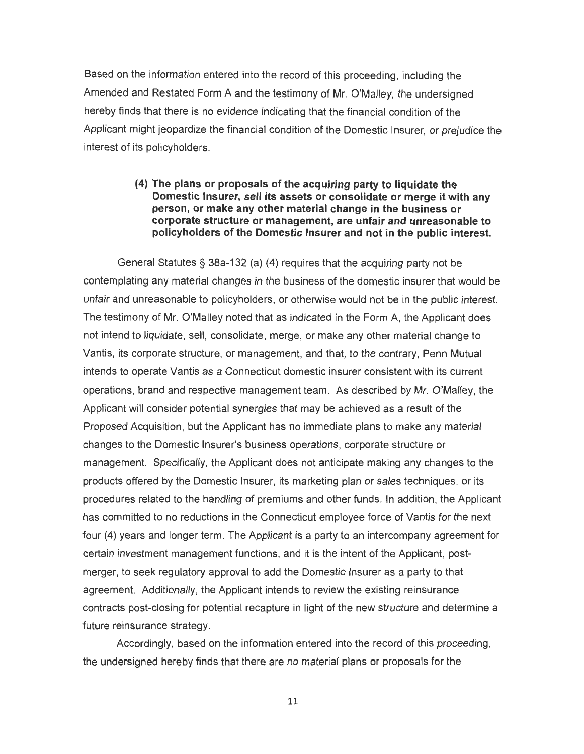Based on the information entered into the record of this proceeding, including the Amended and Restated Form A and the testimony of Mr. O'Malley, the undersigned hereby finds that there is no evidence indicating that the financial condition of the Applicant might jeopardize the financial condition of the Domestic Insurer, or prejudice the interest of its policyholders.

#### **(4) The plans or proposals of the acquiring party to liquidate the Domestic Insurer, sell its assets or consolidate or merge it with any person, or make any other material change in the business or corporate structure or management, are unfair and unreasonable to policyholders of the Domestic Insurer and not in the public interest.**

General Statutes§ 38a-132 (a) (4) requires that the acquiring party not be contemplating any material changes in the business of the domestic insurer that would be unfair and unreasonable to policyholders, or otherwise would not be in the public interest. The testimony of Mr. O'Malley noted that as indicated in the Form A, the Applicant does not intend to liquidate, sell, consolidate, merge, or make any other material change to Vantis, its corporate structure, or management, and that, to the contrary, Penn Mutual intends to operate Vantis as a Connecticut domestic insurer consistent with its current operations, brand and respective management team. As described by Mr. O'Malley, the Applicant will consider potential synergies that may be achieved as a result of the Proposed Acquisition, but the Applicant has no immediate plans to make any material changes to the Domestic Insurer's business operations, corporate structure or management. Specifically, the Applicant does not anticipate making any changes to the products offered by the Domestic Insurer, its marketing plan or sales techniques, or its procedures related to the handling of premiums and other funds . In addition, the Applicant has committed to no reductions in the Connecticut employee force of Vantis for the next four (4) years and longer term . The Applicant is a party to an intercompany agreement for certain investment management functions, and it is the intent of the Applicant, postmerger, to seek regulatory approval to add the Domestic Insurer as a party to that agreement. Additionally, the Applicant intends to review the existing reinsurance contracts post-closing for potential recapture in light of the new structure and determine a future reinsurance strategy.

Accordingly, based on the information entered into the record of this proceeding , the undersigned hereby finds that there are no material plans or proposals for the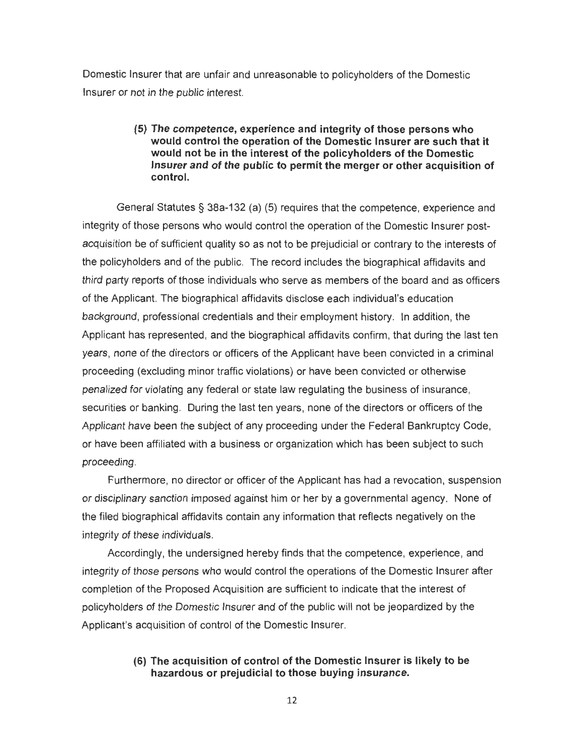Domestic Insurer that are unfair and unreasonable to policyholders of the Domestic Insurer or not in the public interest.

#### **(5) The competence, experience and integrity of those persons who would control the operation of the Domestic Insurer are such that it would not be in the interest of the policyholders of the Domestic Insurer and of the public to permit the merger or other acquisition of control.**

General Statutes§ 38a-132 (a) (5) requires that the competence, experience and integrity of those persons who would control the operation of the Domestic Insurer postacquisition be of sufficient quality so as not to be prejudicial or contrary to the interests of the policyholders and of the public. The record includes the biographical affidavits and third party reports of those individuals who serve as members of the board and as officers of the Applicant. The biographical affidavits disclose each individual's education background, professional credentials and their employment history. In addition, the Applicant has represented, and the biographical affidavits confirm, that during the last ten years, none of the directors or officers of the Applicant have been convicted in a criminal proceeding (excluding minor traffic violations) or have been convicted or otherwise penalized for violating any federal or state law regulating the business of insurance, securities or banking. During the last ten years , none of the directors or officers of the Applicant have been the subject of any proceeding under the Federal Bankruptcy Code, or have been affiliated with a business or organization which has been subject to such proceeding.

Furthermore, no director or officer of the Applicant has had a revocation, suspension or disciplinary sanction imposed against him or her by a governmental agency . None of the filed biographical affidavits contain any information that reflects negatively on the integrity of these individuals.

Accordingly, the undersigned hereby finds that the competence, experience, and integrity of those persons who would control the operations of the Domestic Insurer after completion of the Proposed Acquisition are sufficient to indicate that the interest of policyholders of the Domestic Insurer and of the public will not be jeopardized by the Applicant's acquisition of control of the Domestic Insurer.

## **(6) The acquisition of control of the Domestic Insurer is likely to be hazardous or prejudicial to those buying insurance.**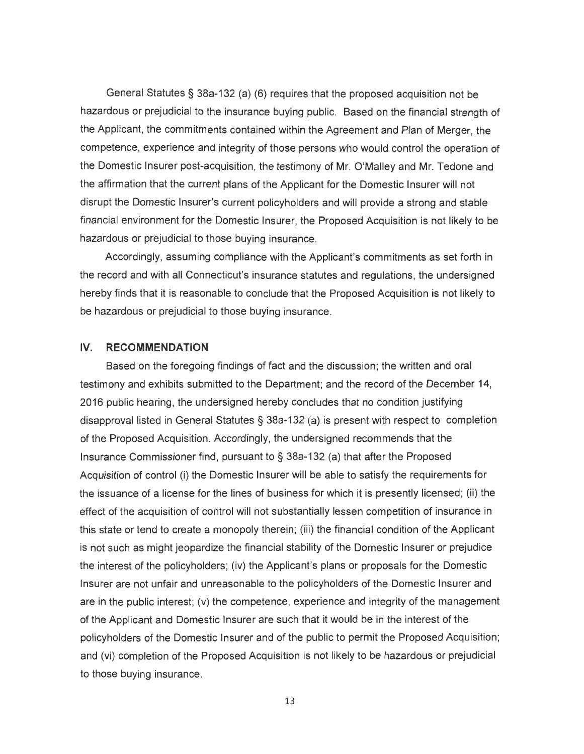General Statutes§ 38a-132 (a) (6) requires that the proposed acquisition not be hazardous or prejudicial to the insurance buying public. Based on the financial strength of the Applicant, the commitments contained within the Agreement and Plan of Merger, the competence, experience and integrity of those persons who would control the operation of the Domestic Insurer post-acquisition, the testimony of Mr. O'Malley and Mr. Tedone and the affirmation that the current plans of the Applicant for the Domestic Insurer will not disrupt the Domestic Insurer's current policyholders and will provide a strong and stable financial environment for the Domestic Insurer, the Proposed Acquisition is not likely to be hazardous or prejudicial to those buying insurance.

Accordingly, assuming compliance with the Applicant's commitments as set forth in the record and with all Connecticut's insurance statutes and regulations, the undersigned hereby finds that it is reasonable to conclude that the Proposed Acquisition is not likely to be hazardous or prejudicial to those buying insurance.

### IV. **RECOMMENDATION**

Based on the foregoing findings of fact and the discussion; the written and oral testimony and exhibits submitted to the Department; and the record of the December 14, 2016 public hearing, the undersigned hereby concludes that no condition justifying disapproval listed in General Statutes § 38a-132 (a) is present with respect to completion of the Proposed Acquisition . Accordingly, the undersigned recommends that the Insurance Commissioner find, pursuant to§ 38a-132 (a) that after the Proposed Acquisition of control (i) the Domestic Insurer will be able to satisfy the requirements for the issuance of a license for the lines of business for which it is presently licensed; (ii) the effect of the acquisition of control will not substantially lessen competition of insurance in this state or tend to create a monopoly therein; (iii) the financial condition of the Applicant is not such as might jeopardize the financial stability of the Domestic Insurer or prejudice the interest of the policyholders; (iv) the Applicant's plans or proposals for the Domestic Insurer are not unfair and unreasonable to the policyholders of the Domestic Insurer and are in the public interest; (v) the competence, experience and integrity of the management of the Applicant and Domestic Insurer are such that it would be in the interest of the policyholders of the Domestic Insurer and of the public to permit the Proposed Acquisition; and (vi) completion of the Proposed Acquisition is not likely to be hazardous or prejudicial to those buying insurance.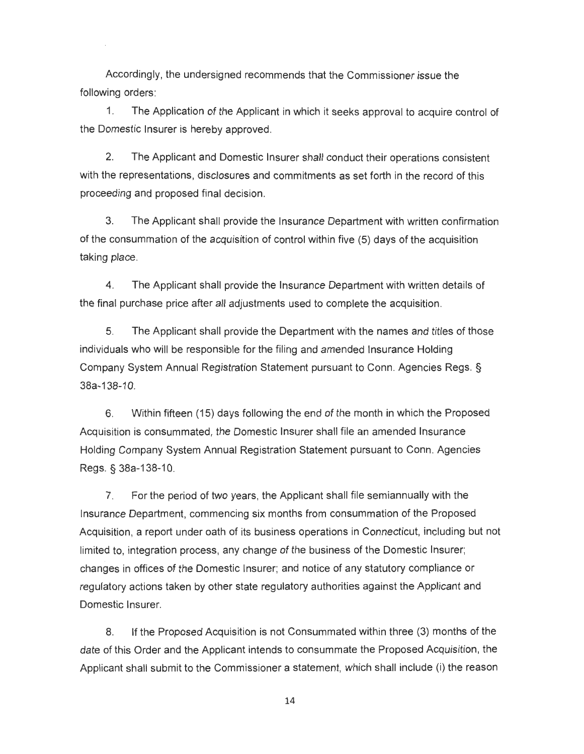Accordingly, the undersigned recommends that the Commissioner issue the following orders:

1. The Application of the Applicant in which it seeks approval to acquire control of the Domestic Insurer is hereby approved.

2. The Applicant and Domestic Insurer shall conduct their operations consistent with the representations, disclosures and commitments as set forth in the record of this proceeding and proposed final decision.

3. The Applicant shall provide the Insurance Department with written confirmation of the consummation of the acquisition of control within five (5) days of the acquisition taking place.

4. The Applicant shall provide the Insurance Department with written details of the final purchase price after all adjustments used to complete the acquisition.

5. The Applicant shall provide the Department with the names and titles of those individuals who will be responsible for the filing and amended Insurance Holding Company System Annual Registration Statement pursuant to Conn. Agencies Regs. § 38a-138-10.

6. Within fifteen (15) days following the end of the month in which the Proposed Acquisition is consummated, the Domestic Insurer shall file an amended Insurance Holding Company System Annual Registration Statement pursuant to Conn. Agencies Regs. § 38a-138-1 0.

7. For the period of two years, the Applicant shall file semiannually with the Insurance Department, commencing six months from consummation of the Proposed Acquisition, a report under oath of its business operations in Connecticut, including but not limited to, integration process, any change of the business of the Domestic Insurer; changes in offices of the Domestic Insurer; and notice of any statutory compliance or regulatory actions taken by other state regulatory authorities against the Applicant and Domestic Insurer.

8. If the Proposed Acquisition is not Consummated within three (3) months of the date of this Order and the Applicant intends to consummate the Proposed Acquisition, the Applicant shall submit to the Commissioner a statement, which shall include (i) the reason